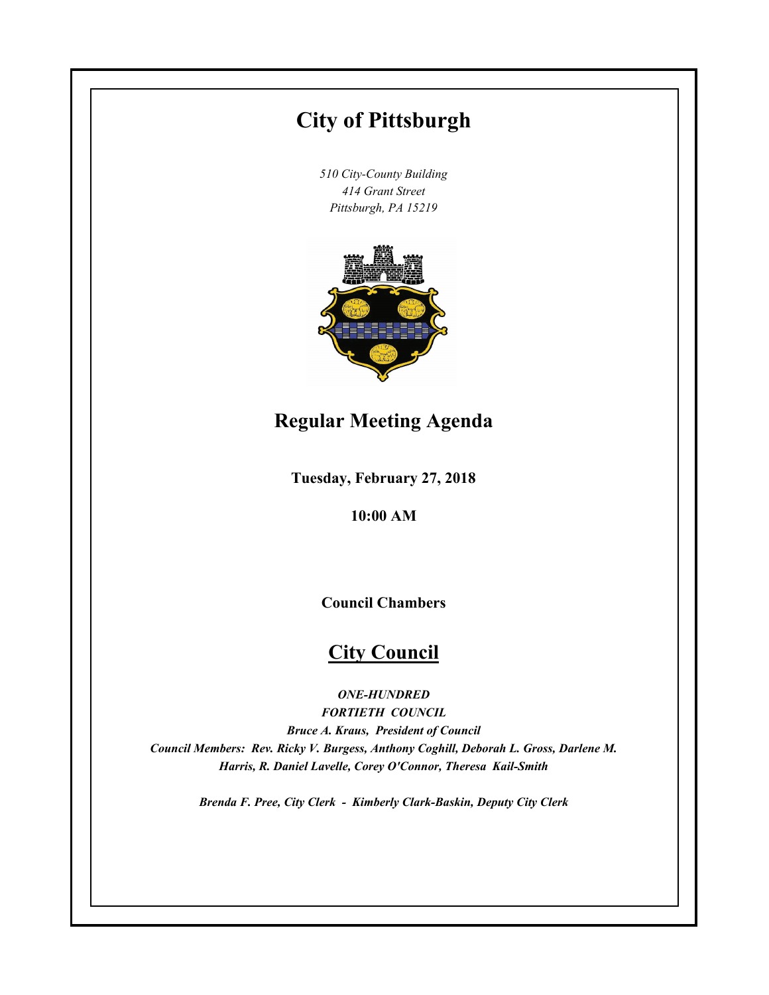# **City of Pittsburgh**

*510 City-County Building 414 Grant Street Pittsburgh, PA 15219*



# **Regular Meeting Agenda**

**Tuesday, February 27, 2018**

**10:00 AM**

**Council Chambers**

# **City Council**

*ONE-HUNDRED*

*FORTIETH COUNCIL Bruce A. Kraus, President of Council Council Members: Rev. Ricky V. Burgess, Anthony Coghill, Deborah L. Gross, Darlene M. Harris, R. Daniel Lavelle, Corey O'Connor, Theresa Kail-Smith*

*Brenda F. Pree, City Clerk - Kimberly Clark-Baskin, Deputy City Clerk*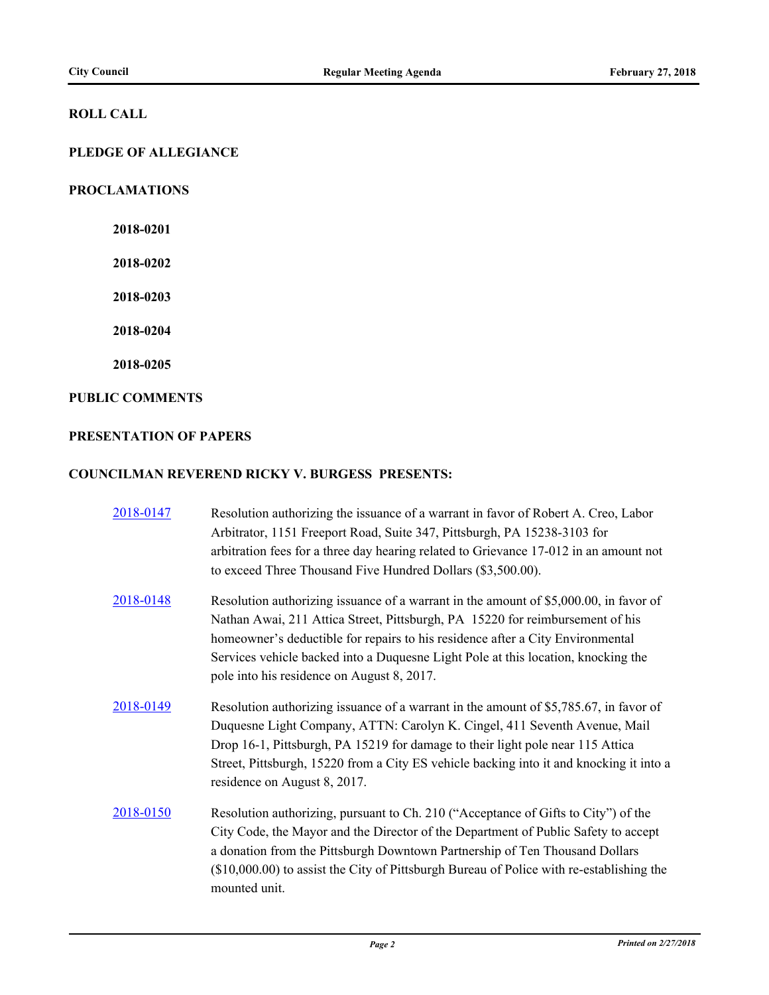### **ROLL CALL**

### **PLEDGE OF ALLEGIANCE**

### **PROCLAMATIONS**

**2018-0201**

**2018-0202**

**2018-0203**

**2018-0204**

**2018-0205**

### **PUBLIC COMMENTS**

### **PRESENTATION OF PAPERS**

### **COUNCILMAN REVEREND RICKY V. BURGESS PRESENTS:**

| 2018-0147 | Resolution authorizing the issuance of a warrant in favor of Robert A. Creo, Labor<br>Arbitrator, 1151 Freeport Road, Suite 347, Pittsburgh, PA 15238-3103 for<br>arbitration fees for a three day hearing related to Grievance 17-012 in an amount not<br>to exceed Three Thousand Five Hundred Dollars (\$3,500.00).                                                                      |
|-----------|---------------------------------------------------------------------------------------------------------------------------------------------------------------------------------------------------------------------------------------------------------------------------------------------------------------------------------------------------------------------------------------------|
| 2018-0148 | Resolution authorizing issuance of a warrant in the amount of \$5,000.00, in favor of<br>Nathan Awai, 211 Attica Street, Pittsburgh, PA 15220 for reimbursement of his<br>homeowner's deductible for repairs to his residence after a City Environmental<br>Services vehicle backed into a Duquesne Light Pole at this location, knocking the<br>pole into his residence on August 8, 2017. |
| 2018-0149 | Resolution authorizing issuance of a warrant in the amount of \$5,785.67, in favor of<br>Duquesne Light Company, ATTN: Carolyn K. Cingel, 411 Seventh Avenue, Mail<br>Drop 16-1, Pittsburgh, PA 15219 for damage to their light pole near 115 Attica<br>Street, Pittsburgh, 15220 from a City ES vehicle backing into it and knocking it into a<br>residence on August 8, 2017.             |
| 2018-0150 | Resolution authorizing, pursuant to Ch. 210 ("Acceptance of Gifts to City") of the<br>City Code, the Mayor and the Director of the Department of Public Safety to accept<br>a donation from the Pittsburgh Downtown Partnership of Ten Thousand Dollars<br>(\$10,000.00) to assist the City of Pittsburgh Bureau of Police with re-establishing the<br>mounted unit.                        |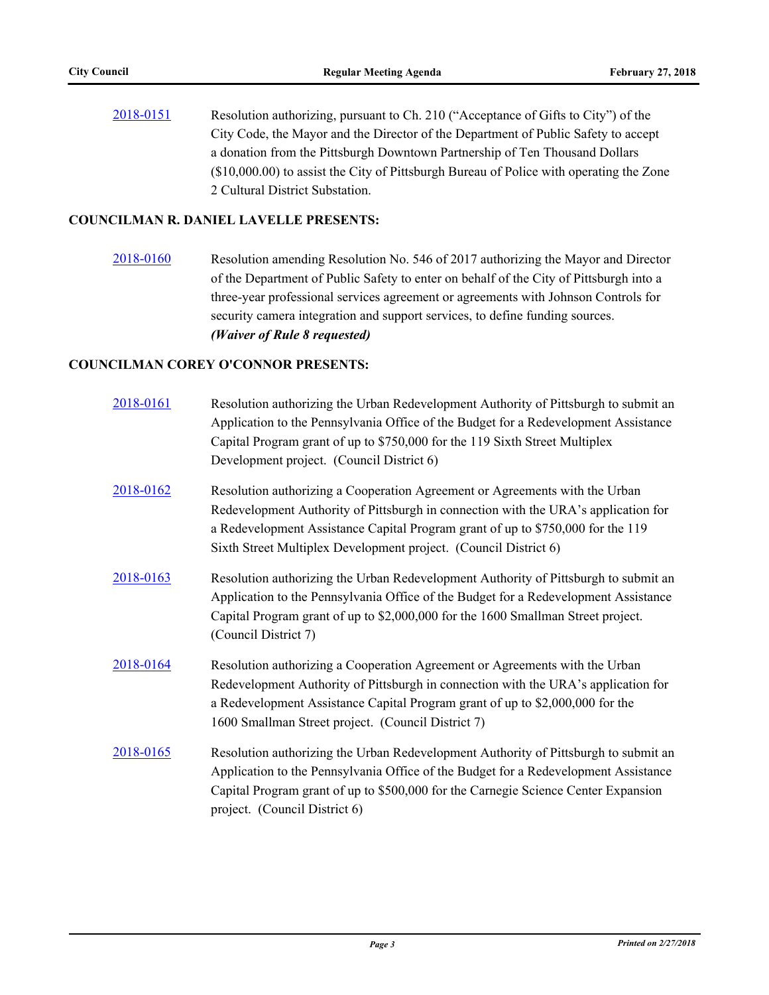[2018-0151](http://pittsburgh.legistar.com/gateway.aspx?m=l&id=/matter.aspx?key=22450) Resolution authorizing, pursuant to Ch. 210 ("Acceptance of Gifts to City") of the City Code, the Mayor and the Director of the Department of Public Safety to accept a donation from the Pittsburgh Downtown Partnership of Ten Thousand Dollars (\$10,000.00) to assist the City of Pittsburgh Bureau of Police with operating the Zone 2 Cultural District Substation.

### **COUNCILMAN R. DANIEL LAVELLE PRESENTS:**

[2018-0160](http://pittsburgh.legistar.com/gateway.aspx?m=l&id=/matter.aspx?key=22459) Resolution amending Resolution No. 546 of 2017 authorizing the Mayor and Director of the Department of Public Safety to enter on behalf of the City of Pittsburgh into a three-year professional services agreement or agreements with Johnson Controls for security camera integration and support services, to define funding sources. *(Waiver of Rule 8 requested)*

### **COUNCILMAN COREY O'CONNOR PRESENTS:**

| 2018-0161 | Resolution authorizing the Urban Redevelopment Authority of Pittsburgh to submit an<br>Application to the Pennsylvania Office of the Budget for a Redevelopment Assistance<br>Capital Program grant of up to \$750,000 for the 119 Sixth Street Multiplex<br>Development project. (Council District 6)                   |
|-----------|--------------------------------------------------------------------------------------------------------------------------------------------------------------------------------------------------------------------------------------------------------------------------------------------------------------------------|
| 2018-0162 | Resolution authorizing a Cooperation Agreement or Agreements with the Urban<br>Redevelopment Authority of Pittsburgh in connection with the URA's application for<br>a Redevelopment Assistance Capital Program grant of up to \$750,000 for the 119<br>Sixth Street Multiplex Development project. (Council District 6) |
| 2018-0163 | Resolution authorizing the Urban Redevelopment Authority of Pittsburgh to submit an<br>Application to the Pennsylvania Office of the Budget for a Redevelopment Assistance<br>Capital Program grant of up to \$2,000,000 for the 1600 Smallman Street project.<br>(Council District 7)                                   |
| 2018-0164 | Resolution authorizing a Cooperation Agreement or Agreements with the Urban<br>Redevelopment Authority of Pittsburgh in connection with the URA's application for<br>a Redevelopment Assistance Capital Program grant of up to \$2,000,000 for the<br>1600 Smallman Street project. (Council District 7)                 |
| 2018-0165 | Resolution authorizing the Urban Redevelopment Authority of Pittsburgh to submit an<br>Application to the Pennsylvania Office of the Budget for a Redevelopment Assistance<br>Capital Program grant of up to \$500,000 for the Carnegie Science Center Expansion<br>project. (Council District 6)                        |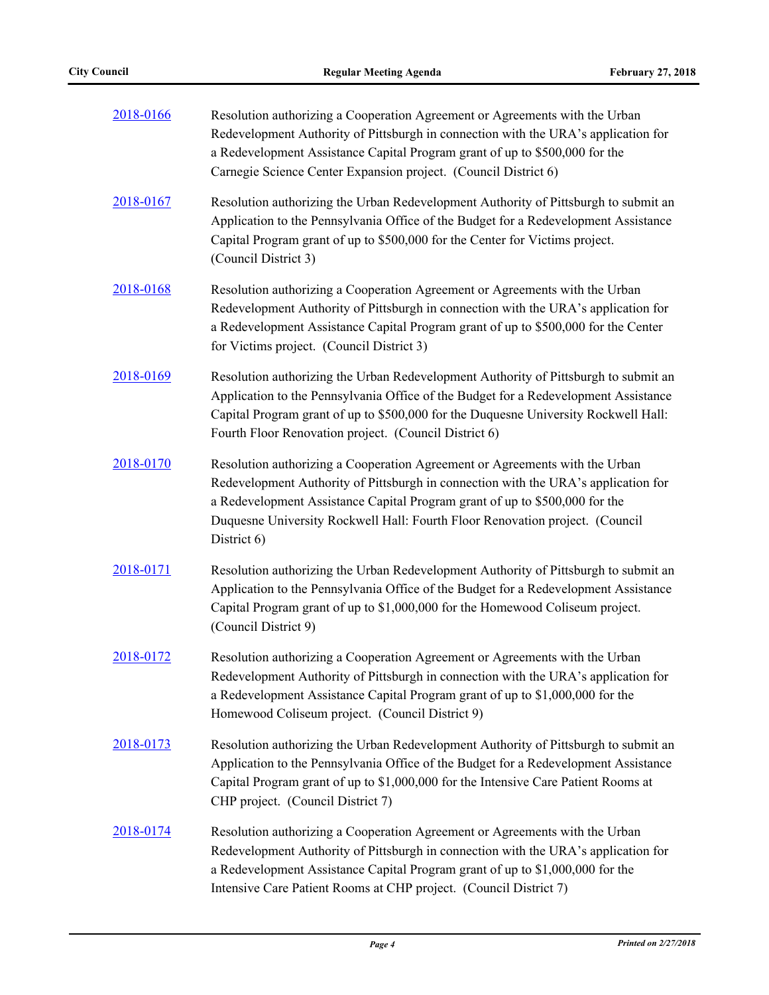| 2018-0166 | Resolution authorizing a Cooperation Agreement or Agreements with the Urban<br>Redevelopment Authority of Pittsburgh in connection with the URA's application for<br>a Redevelopment Assistance Capital Program grant of up to \$500,000 for the<br>Carnegie Science Center Expansion project. (Council District 6)                             |  |  |  |  |
|-----------|-------------------------------------------------------------------------------------------------------------------------------------------------------------------------------------------------------------------------------------------------------------------------------------------------------------------------------------------------|--|--|--|--|
| 2018-0167 | Resolution authorizing the Urban Redevelopment Authority of Pittsburgh to submit an<br>Application to the Pennsylvania Office of the Budget for a Redevelopment Assistance<br>Capital Program grant of up to \$500,000 for the Center for Victims project.<br>(Council District 3)                                                              |  |  |  |  |
| 2018-0168 | Resolution authorizing a Cooperation Agreement or Agreements with the Urban<br>Redevelopment Authority of Pittsburgh in connection with the URA's application for<br>a Redevelopment Assistance Capital Program grant of up to \$500,000 for the Center<br>for Victims project. (Council District 3)                                            |  |  |  |  |
| 2018-0169 | Resolution authorizing the Urban Redevelopment Authority of Pittsburgh to submit an<br>Application to the Pennsylvania Office of the Budget for a Redevelopment Assistance<br>Capital Program grant of up to \$500,000 for the Duquesne University Rockwell Hall:<br>Fourth Floor Renovation project. (Council District 6)                      |  |  |  |  |
| 2018-0170 | Resolution authorizing a Cooperation Agreement or Agreements with the Urban<br>Redevelopment Authority of Pittsburgh in connection with the URA's application for<br>a Redevelopment Assistance Capital Program grant of up to \$500,000 for the<br>Duquesne University Rockwell Hall: Fourth Floor Renovation project. (Council<br>District 6) |  |  |  |  |
| 2018-0171 | Resolution authorizing the Urban Redevelopment Authority of Pittsburgh to submit an<br>Application to the Pennsylvania Office of the Budget for a Redevelopment Assistance<br>Capital Program grant of up to \$1,000,000 for the Homewood Coliseum project.<br>(Council District 9)                                                             |  |  |  |  |
| 2018-0172 | Resolution authorizing a Cooperation Agreement or Agreements with the Urban<br>Redevelopment Authority of Pittsburgh in connection with the URA's application for<br>a Redevelopment Assistance Capital Program grant of up to \$1,000,000 for the<br>Homewood Coliseum project. (Council District 9)                                           |  |  |  |  |
| 2018-0173 | Resolution authorizing the Urban Redevelopment Authority of Pittsburgh to submit an<br>Application to the Pennsylvania Office of the Budget for a Redevelopment Assistance<br>Capital Program grant of up to \$1,000,000 for the Intensive Care Patient Rooms at<br>CHP project. (Council District 7)                                           |  |  |  |  |
| 2018-0174 | Resolution authorizing a Cooperation Agreement or Agreements with the Urban<br>Redevelopment Authority of Pittsburgh in connection with the URA's application for<br>a Redevelopment Assistance Capital Program grant of up to \$1,000,000 for the<br>Intensive Care Patient Rooms at CHP project. (Council District 7)                         |  |  |  |  |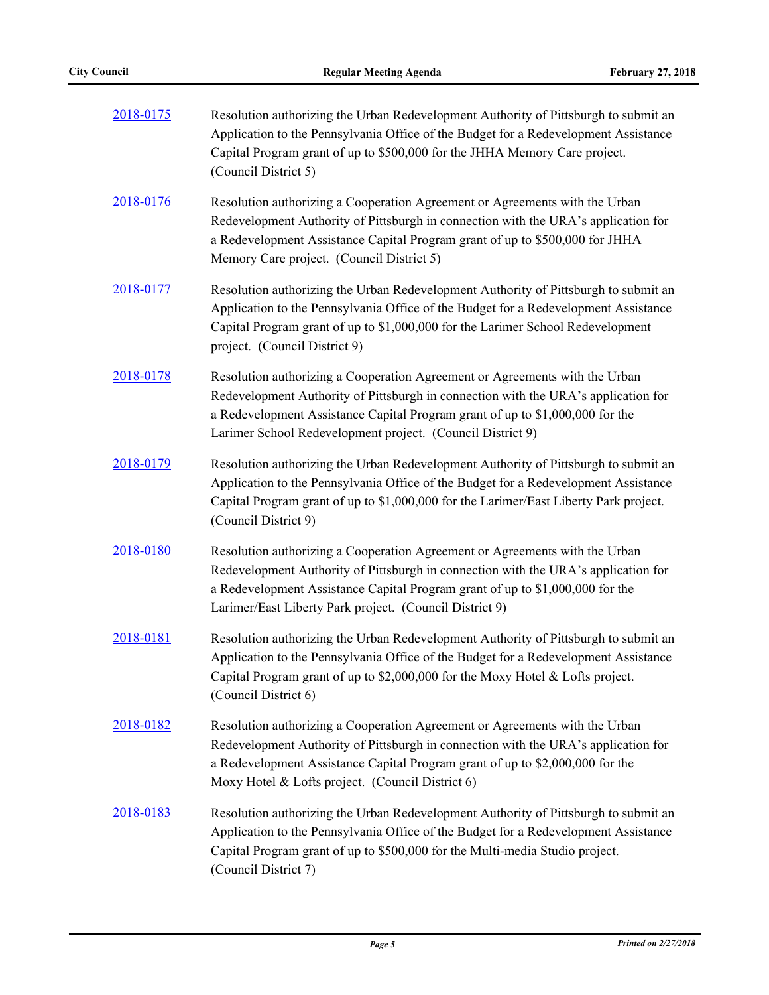| 2018-0175 | Resolution authorizing the Urban Redevelopment Authority of Pittsburgh to submit an<br>Application to the Pennsylvania Office of the Budget for a Redevelopment Assistance<br>Capital Program grant of up to \$500,000 for the JHHA Memory Care project.<br>(Council District 5)                                 |  |  |  |
|-----------|------------------------------------------------------------------------------------------------------------------------------------------------------------------------------------------------------------------------------------------------------------------------------------------------------------------|--|--|--|
| 2018-0176 | Resolution authorizing a Cooperation Agreement or Agreements with the Urban<br>Redevelopment Authority of Pittsburgh in connection with the URA's application for<br>a Redevelopment Assistance Capital Program grant of up to \$500,000 for JHHA<br>Memory Care project. (Council District 5)                   |  |  |  |
| 2018-0177 | Resolution authorizing the Urban Redevelopment Authority of Pittsburgh to submit an<br>Application to the Pennsylvania Office of the Budget for a Redevelopment Assistance<br>Capital Program grant of up to \$1,000,000 for the Larimer School Redevelopment<br>project. (Council District 9)                   |  |  |  |
| 2018-0178 | Resolution authorizing a Cooperation Agreement or Agreements with the Urban<br>Redevelopment Authority of Pittsburgh in connection with the URA's application for<br>a Redevelopment Assistance Capital Program grant of up to \$1,000,000 for the<br>Larimer School Redevelopment project. (Council District 9) |  |  |  |
| 2018-0179 | Resolution authorizing the Urban Redevelopment Authority of Pittsburgh to submit an<br>Application to the Pennsylvania Office of the Budget for a Redevelopment Assistance<br>Capital Program grant of up to \$1,000,000 for the Larimer/East Liberty Park project.<br>(Council District 9)                      |  |  |  |
| 2018-0180 | Resolution authorizing a Cooperation Agreement or Agreements with the Urban<br>Redevelopment Authority of Pittsburgh in connection with the URA's application for<br>a Redevelopment Assistance Capital Program grant of up to \$1,000,000 for the<br>Larimer/East Liberty Park project. (Council District 9)    |  |  |  |
| 2018-0181 | Resolution authorizing the Urban Redevelopment Authority of Pittsburgh to submit an<br>Application to the Pennsylvania Office of the Budget for a Redevelopment Assistance<br>Capital Program grant of up to \$2,000,000 for the Moxy Hotel & Lofts project.<br>(Council District 6)                             |  |  |  |
| 2018-0182 | Resolution authorizing a Cooperation Agreement or Agreements with the Urban<br>Redevelopment Authority of Pittsburgh in connection with the URA's application for<br>a Redevelopment Assistance Capital Program grant of up to \$2,000,000 for the<br>Moxy Hotel & Lofts project. (Council District 6)           |  |  |  |
| 2018-0183 | Resolution authorizing the Urban Redevelopment Authority of Pittsburgh to submit an<br>Application to the Pennsylvania Office of the Budget for a Redevelopment Assistance<br>Capital Program grant of up to \$500,000 for the Multi-media Studio project.<br>(Council District 7)                               |  |  |  |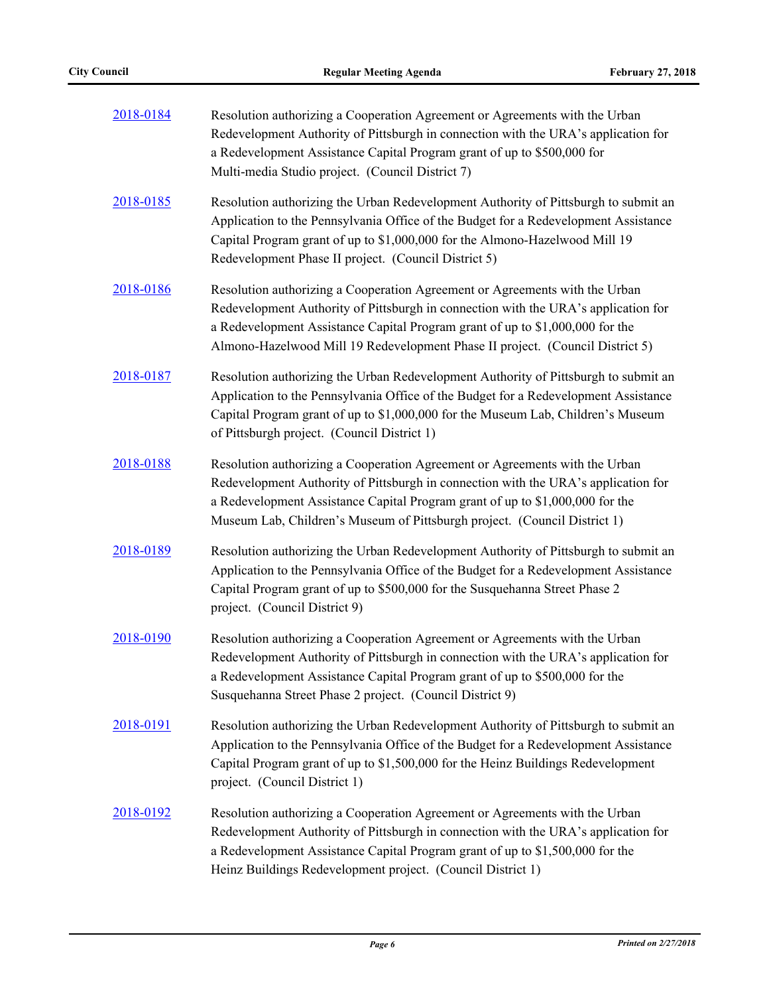| 2018-0184 | Resolution authorizing a Cooperation Agreement or Agreements with the Urban<br>Redevelopment Authority of Pittsburgh in connection with the URA's application for<br>a Redevelopment Assistance Capital Program grant of up to \$500,000 for<br>Multi-media Studio project. (Council District 7)                                    |  |  |  |
|-----------|-------------------------------------------------------------------------------------------------------------------------------------------------------------------------------------------------------------------------------------------------------------------------------------------------------------------------------------|--|--|--|
| 2018-0185 | Resolution authorizing the Urban Redevelopment Authority of Pittsburgh to submit an<br>Application to the Pennsylvania Office of the Budget for a Redevelopment Assistance<br>Capital Program grant of up to \$1,000,000 for the Almono-Hazelwood Mill 19<br>Redevelopment Phase II project. (Council District 5)                   |  |  |  |
| 2018-0186 | Resolution authorizing a Cooperation Agreement or Agreements with the Urban<br>Redevelopment Authority of Pittsburgh in connection with the URA's application for<br>a Redevelopment Assistance Capital Program grant of up to \$1,000,000 for the<br>Almono-Hazelwood Mill 19 Redevelopment Phase II project. (Council District 5) |  |  |  |
| 2018-0187 | Resolution authorizing the Urban Redevelopment Authority of Pittsburgh to submit an<br>Application to the Pennsylvania Office of the Budget for a Redevelopment Assistance<br>Capital Program grant of up to \$1,000,000 for the Museum Lab, Children's Museum<br>of Pittsburgh project. (Council District 1)                       |  |  |  |
| 2018-0188 | Resolution authorizing a Cooperation Agreement or Agreements with the Urban<br>Redevelopment Authority of Pittsburgh in connection with the URA's application for<br>a Redevelopment Assistance Capital Program grant of up to \$1,000,000 for the<br>Museum Lab, Children's Museum of Pittsburgh project. (Council District 1)     |  |  |  |
| 2018-0189 | Resolution authorizing the Urban Redevelopment Authority of Pittsburgh to submit an<br>Application to the Pennsylvania Office of the Budget for a Redevelopment Assistance<br>Capital Program grant of up to \$500,000 for the Susquehanna Street Phase 2<br>project. (Council District 9)                                          |  |  |  |
| 2018-0190 | Resolution authorizing a Cooperation Agreement or Agreements with the Urban<br>Redevelopment Authority of Pittsburgh in connection with the URA's application for<br>a Redevelopment Assistance Capital Program grant of up to \$500,000 for the<br>Susquehanna Street Phase 2 project. (Council District 9)                        |  |  |  |
| 2018-0191 | Resolution authorizing the Urban Redevelopment Authority of Pittsburgh to submit an<br>Application to the Pennsylvania Office of the Budget for a Redevelopment Assistance<br>Capital Program grant of up to \$1,500,000 for the Heinz Buildings Redevelopment<br>project. (Council District 1)                                     |  |  |  |
| 2018-0192 | Resolution authorizing a Cooperation Agreement or Agreements with the Urban<br>Redevelopment Authority of Pittsburgh in connection with the URA's application for<br>a Redevelopment Assistance Capital Program grant of up to \$1,500,000 for the<br>Heinz Buildings Redevelopment project. (Council District 1)                   |  |  |  |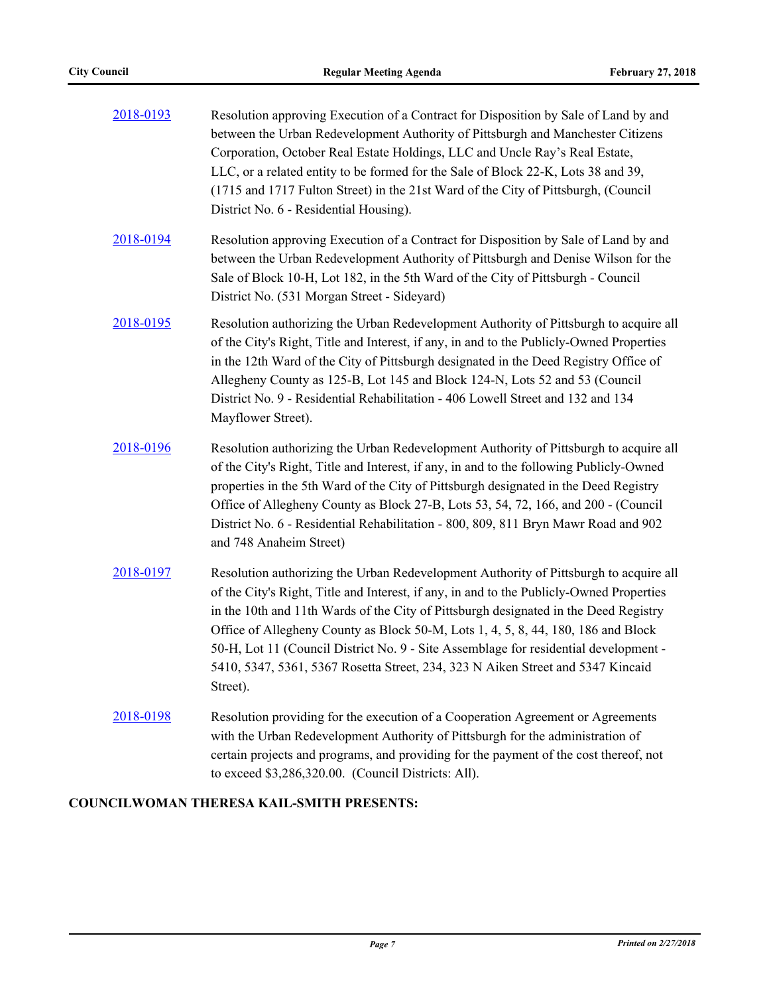| 2018-0193 | Resolution approving Execution of a Contract for Disposition by Sale of Land by and<br>between the Urban Redevelopment Authority of Pittsburgh and Manchester Citizens<br>Corporation, October Real Estate Holdings, LLC and Uncle Ray's Real Estate,<br>LLC, or a related entity to be formed for the Sale of Block 22-K, Lots 38 and 39,<br>(1715 and 1717 Fulton Street) in the 21st Ward of the City of Pittsburgh, (Council<br>District No. 6 - Residential Housing).                                                                            |  |  |  |
|-----------|-------------------------------------------------------------------------------------------------------------------------------------------------------------------------------------------------------------------------------------------------------------------------------------------------------------------------------------------------------------------------------------------------------------------------------------------------------------------------------------------------------------------------------------------------------|--|--|--|
| 2018-0194 | Resolution approving Execution of a Contract for Disposition by Sale of Land by and<br>between the Urban Redevelopment Authority of Pittsburgh and Denise Wilson for the<br>Sale of Block 10-H, Lot 182, in the 5th Ward of the City of Pittsburgh - Council<br>District No. (531 Morgan Street - Sideyard)                                                                                                                                                                                                                                           |  |  |  |
| 2018-0195 | Resolution authorizing the Urban Redevelopment Authority of Pittsburgh to acquire all<br>of the City's Right, Title and Interest, if any, in and to the Publicly-Owned Properties<br>in the 12th Ward of the City of Pittsburgh designated in the Deed Registry Office of<br>Allegheny County as 125-B, Lot 145 and Block 124-N, Lots 52 and 53 (Council<br>District No. 9 - Residential Rehabilitation - 406 Lowell Street and 132 and 134<br>Mayflower Street).                                                                                     |  |  |  |
| 2018-0196 | Resolution authorizing the Urban Redevelopment Authority of Pittsburgh to acquire all<br>of the City's Right, Title and Interest, if any, in and to the following Publicly-Owned<br>properties in the 5th Ward of the City of Pittsburgh designated in the Deed Registry<br>Office of Allegheny County as Block 27-B, Lots 53, 54, 72, 166, and 200 - (Council<br>District No. 6 - Residential Rehabilitation - 800, 809, 811 Bryn Mawr Road and 902<br>and 748 Anaheim Street)                                                                       |  |  |  |
| 2018-0197 | Resolution authorizing the Urban Redevelopment Authority of Pittsburgh to acquire all<br>of the City's Right, Title and Interest, if any, in and to the Publicly-Owned Properties<br>in the 10th and 11th Wards of the City of Pittsburgh designated in the Deed Registry<br>Office of Allegheny County as Block 50-M, Lots 1, 4, 5, 8, 44, 180, 186 and Block<br>50-H, Lot 11 (Council District No. 9 - Site Assemblage for residential development -<br>5410, 5347, 5361, 5367 Rosetta Street, 234, 323 N Aiken Street and 5347 Kincaid<br>Street). |  |  |  |
| 2018-0198 | Resolution providing for the execution of a Cooperation Agreement or Agreements<br>with the Urban Redevelopment Authority of Pittsburgh for the administration of<br>certain projects and programs, and providing for the payment of the cost thereof, not<br>to exceed \$3,286,320.00. (Council Districts: All).                                                                                                                                                                                                                                     |  |  |  |

# **COUNCILWOMAN THERESA KAIL-SMITH PRESENTS:**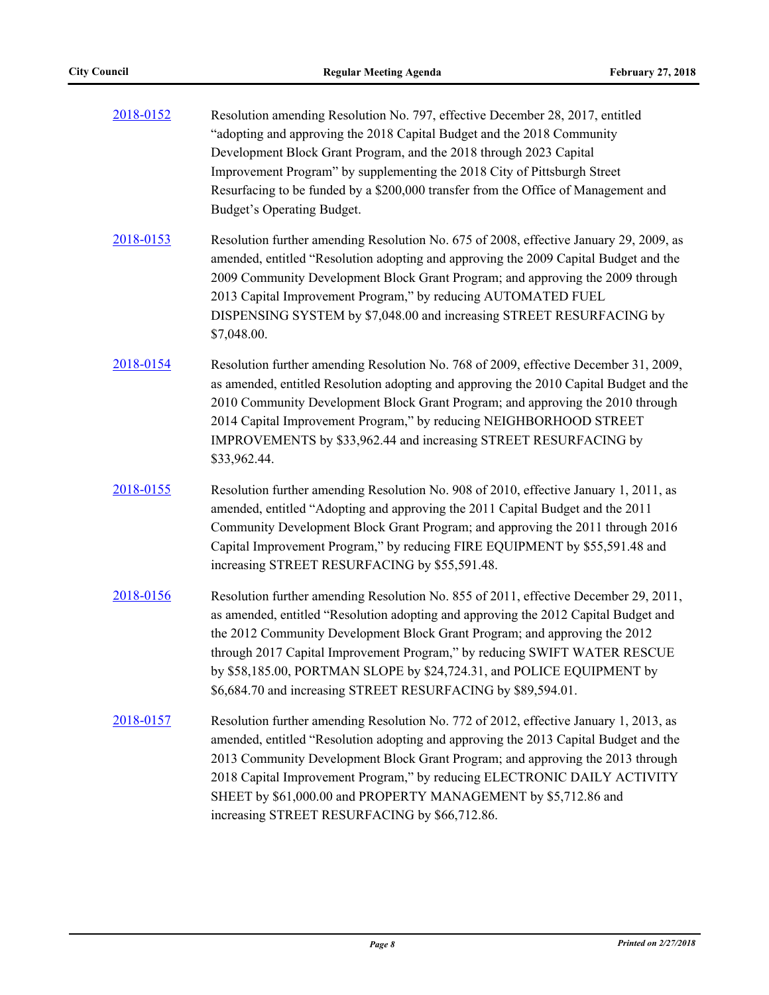| 2018-0152 | Resolution amending Resolution No. 797, effective December 28, 2017, entitled<br>"adopting and approving the 2018 Capital Budget and the 2018 Community<br>Development Block Grant Program, and the 2018 through 2023 Capital<br>Improvement Program" by supplementing the 2018 City of Pittsburgh Street<br>Resurfacing to be funded by a \$200,000 transfer from the Office of Management and<br>Budget's Operating Budget.                                                   |
|-----------|---------------------------------------------------------------------------------------------------------------------------------------------------------------------------------------------------------------------------------------------------------------------------------------------------------------------------------------------------------------------------------------------------------------------------------------------------------------------------------|
| 2018-0153 | Resolution further amending Resolution No. 675 of 2008, effective January 29, 2009, as<br>amended, entitled "Resolution adopting and approving the 2009 Capital Budget and the<br>2009 Community Development Block Grant Program; and approving the 2009 through<br>2013 Capital Improvement Program," by reducing AUTOMATED FUEL<br>DISPENSING SYSTEM by \$7,048.00 and increasing STREET RESURFACING by<br>\$7,048.00.                                                        |
| 2018-0154 | Resolution further amending Resolution No. 768 of 2009, effective December 31, 2009,<br>as amended, entitled Resolution adopting and approving the 2010 Capital Budget and the<br>2010 Community Development Block Grant Program; and approving the 2010 through<br>2014 Capital Improvement Program," by reducing NEIGHBORHOOD STREET<br>IMPROVEMENTS by \$33,962.44 and increasing STREET RESURFACING by<br>\$33,962.44.                                                      |
| 2018-0155 | Resolution further amending Resolution No. 908 of 2010, effective January 1, 2011, as<br>amended, entitled "Adopting and approving the 2011 Capital Budget and the 2011<br>Community Development Block Grant Program; and approving the 2011 through 2016<br>Capital Improvement Program," by reducing FIRE EQUIPMENT by \$55,591.48 and<br>increasing STREET RESURFACING by \$55,591.48.                                                                                       |
| 2018-0156 | Resolution further amending Resolution No. 855 of 2011, effective December 29, 2011,<br>as amended, entitled "Resolution adopting and approving the 2012 Capital Budget and<br>the 2012 Community Development Block Grant Program; and approving the 2012<br>through 2017 Capital Improvement Program," by reducing SWIFT WATER RESCUE<br>by \$58,185.00, PORTMAN SLOPE by \$24,724.31, and POLICE EQUIPMENT by<br>\$6,684.70 and increasing STREET RESURFACING by \$89,594.01. |
| 2018-0157 | Resolution further amending Resolution No. 772 of 2012, effective January 1, 2013, as<br>amended, entitled "Resolution adopting and approving the 2013 Capital Budget and the<br>2013 Community Development Block Grant Program; and approving the 2013 through<br>2018 Capital Improvement Program," by reducing ELECTRONIC DAILY ACTIVITY<br>SHEET by \$61,000.00 and PROPERTY MANAGEMENT by \$5,712.86 and<br>increasing STREET RESURFACING by \$66,712.86.                  |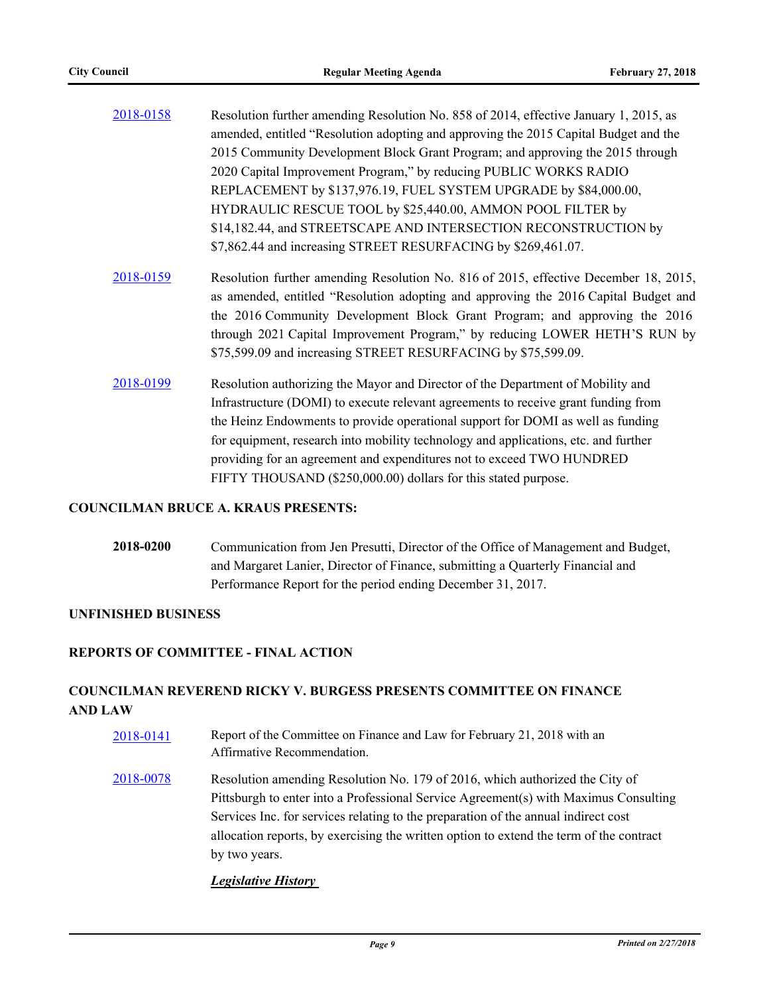| 2018-0158 | Resolution further amending Resolution No. 858 of 2014, effective January 1, 2015, as |
|-----------|---------------------------------------------------------------------------------------|
|           | amended, entitled "Resolution adopting and approving the 2015 Capital Budget and the  |
|           | 2015 Community Development Block Grant Program; and approving the 2015 through        |
|           | 2020 Capital Improvement Program," by reducing PUBLIC WORKS RADIO                     |
|           | REPLACEMENT by \$137,976.19, FUEL SYSTEM UPGRADE by \$84,000.00,                      |
|           | HYDRAULIC RESCUE TOOL by \$25,440.00, AMMON POOL FILTER by                            |
|           | \$14,182.44, and STREETSCAPE AND INTERSECTION RECONSTRUCTION by                       |
|           | \$7,862.44 and increasing STREET RESURFACING by \$269,461.07.                         |

- [2018-0159](http://pittsburgh.legistar.com/gateway.aspx?m=l&id=/matter.aspx?key=22458) Resolution further amending Resolution No. 816 of 2015, effective December 18, 2015, as amended, entitled "Resolution adopting and approving the 2016 Capital Budget and the 2016 Community Development Block Grant Program; and approving the 2016 through 2021 Capital Improvement Program," by reducing LOWER HETH'S RUN by \$75,599.09 and increasing STREET RESURFACING by \$75,599.09.
- [2018-0199](http://pittsburgh.legistar.com/gateway.aspx?m=l&id=/matter.aspx?key=22498) Resolution authorizing the Mayor and Director of the Department of Mobility and Infrastructure (DOMI) to execute relevant agreements to receive grant funding from the Heinz Endowments to provide operational support for DOMI as well as funding for equipment, research into mobility technology and applications, etc. and further providing for an agreement and expenditures not to exceed TWO HUNDRED FIFTY THOUSAND (\$250,000.00) dollars for this stated purpose.

### **COUNCILMAN BRUCE A. KRAUS PRESENTS:**

**2018-0200** Communication from Jen Presutti, Director of the Office of Management and Budget, and Margaret Lanier, Director of Finance, submitting a Quarterly Financial and Performance Report for the period ending December 31, 2017.

## **UNFINISHED BUSINESS**

## **REPORTS OF COMMITTEE - FINAL ACTION**

## **COUNCILMAN REVEREND RICKY V. BURGESS PRESENTS COMMITTEE ON FINANCE AND LAW**

[2018-0141](http://pittsburgh.legistar.com/gateway.aspx?m=l&id=/matter.aspx?key=22440) Report of the Committee on Finance and Law for February 21, 2018 with an Affirmative Recommendation. [2018-0078](http://pittsburgh.legistar.com/gateway.aspx?m=l&id=/matter.aspx?key=22377) Resolution amending Resolution No. 179 of 2016, which authorized the City of Pittsburgh to enter into a Professional Service Agreement(s) with Maximus Consulting

Services Inc. for services relating to the preparation of the annual indirect cost allocation reports, by exercising the written option to extend the term of the contract by two years.

## *Legislative History*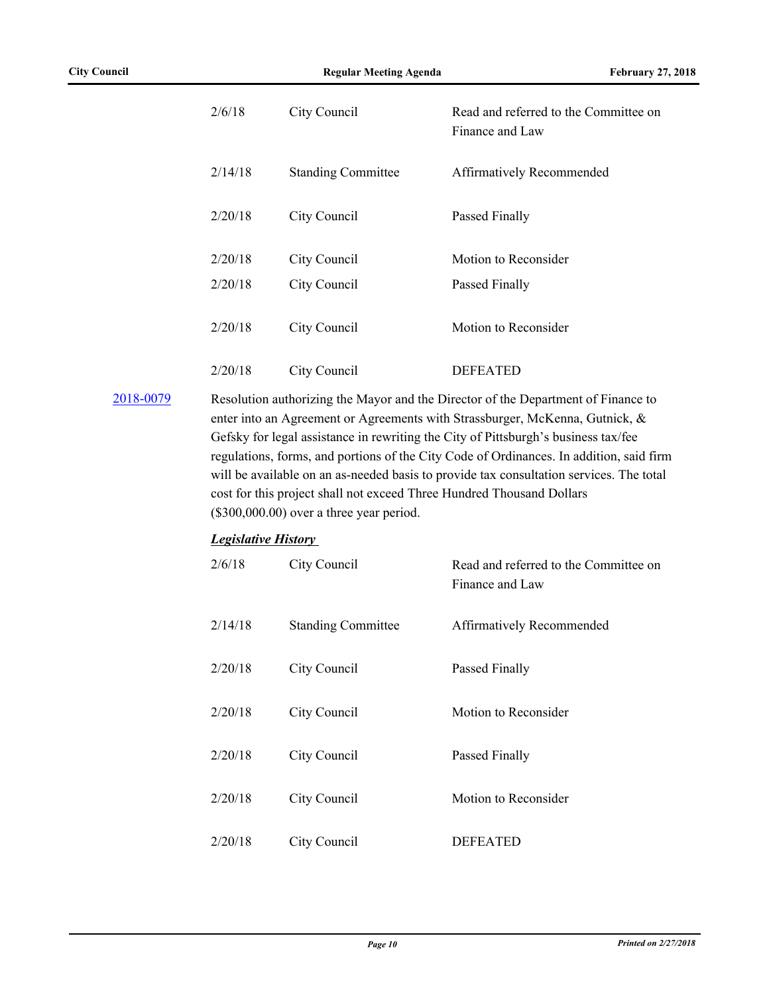| 2/6/18  | City Council              | Read and referred to the Committee on<br>Finance and Law |
|---------|---------------------------|----------------------------------------------------------|
| 2/14/18 | <b>Standing Committee</b> | Affirmatively Recommended                                |
| 2/20/18 | City Council              | Passed Finally                                           |
| 2/20/18 | City Council              | Motion to Reconsider                                     |
| 2/20/18 | City Council              | Passed Finally                                           |
| 2/20/18 | City Council              | Motion to Reconsider                                     |
| 2/20/18 | City Council              | <b>DEFEATED</b>                                          |

# [2018-0079](http://pittsburgh.legistar.com/gateway.aspx?m=l&id=/matter.aspx?key=22378) Resolution authorizing the Mayor and the Director of the Department of Finance to enter into an Agreement or Agreements with Strassburger, McKenna, Gutnick, & Gefsky for legal assistance in rewriting the City of Pittsburgh's business tax/fee regulations, forms, and portions of the City Code of Ordinances. In addition, said firm will be available on an as-needed basis to provide tax consultation services. The total cost for this project shall not exceed Three Hundred Thousand Dollars (\$300,000.00) over a three year period.

## *Legislative History*

| 2/6/18  | City Council              | Read and referred to the Committee on<br>Finance and Law |
|---------|---------------------------|----------------------------------------------------------|
| 2/14/18 | <b>Standing Committee</b> | Affirmatively Recommended                                |
| 2/20/18 | City Council              | Passed Finally                                           |
| 2/20/18 | City Council              | Motion to Reconsider                                     |
| 2/20/18 | City Council              | Passed Finally                                           |
| 2/20/18 | City Council              | Motion to Reconsider                                     |
| 2/20/18 | City Council              | <b>DEFEATED</b>                                          |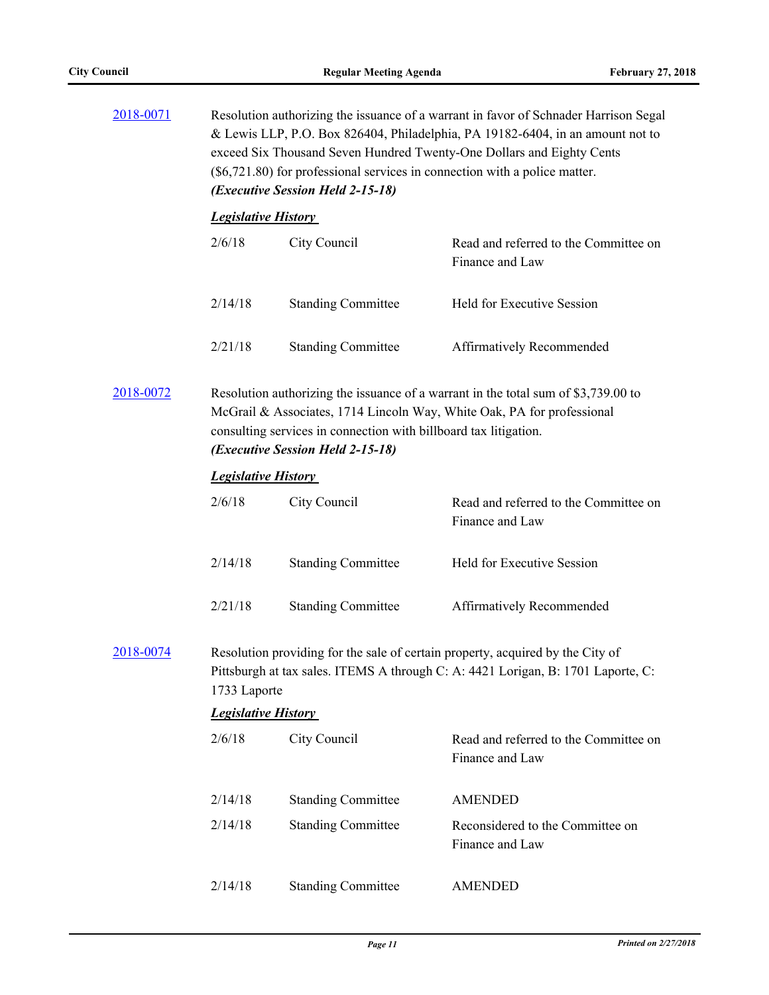| 2018-0071 | Resolution authorizing the issuance of a warrant in favor of Schnader Harrison Segal<br>& Lewis LLP, P.O. Box 826404, Philadelphia, PA 19182-6404, in an amount not to<br>exceed Six Thousand Seven Hundred Twenty-One Dollars and Eighty Cents<br>$(\$6,721.80)$ for professional services in connection with a police matter.<br>(Executive Session Held 2-15-18) |                           |                                                          |  |
|-----------|---------------------------------------------------------------------------------------------------------------------------------------------------------------------------------------------------------------------------------------------------------------------------------------------------------------------------------------------------------------------|---------------------------|----------------------------------------------------------|--|
|           | <b>Legislative History</b>                                                                                                                                                                                                                                                                                                                                          |                           |                                                          |  |
|           | 2/6/18                                                                                                                                                                                                                                                                                                                                                              | City Council              | Read and referred to the Committee on<br>Finance and Law |  |
|           | 2/14/18                                                                                                                                                                                                                                                                                                                                                             | <b>Standing Committee</b> | Held for Executive Session                               |  |
|           | 2/21/18                                                                                                                                                                                                                                                                                                                                                             | <b>Standing Committee</b> | Affirmatively Recommended                                |  |
| 2018-0072 | Resolution authorizing the issuance of a warrant in the total sum of \$3,739.00 to<br>McGrail & Associates, 1714 Lincoln Way, White Oak, PA for professional<br>consulting services in connection with billboard tax litigation.<br>(Executive Session Held 2-15-18)                                                                                                |                           |                                                          |  |
|           | <b>Legislative History</b>                                                                                                                                                                                                                                                                                                                                          |                           |                                                          |  |
|           | 2/6/18                                                                                                                                                                                                                                                                                                                                                              | City Council              | Read and referred to the Committee on<br>Finance and Law |  |
|           | 2/14/18                                                                                                                                                                                                                                                                                                                                                             | <b>Standing Committee</b> | Held for Executive Session                               |  |
|           | 2/21/18                                                                                                                                                                                                                                                                                                                                                             | <b>Standing Committee</b> | Affirmatively Recommended                                |  |
| 2018-0074 | Resolution providing for the sale of certain property, acquired by the City of<br>Pittsburgh at tax sales. ITEMS A through C: A: 4421 Lorigan, B: 1701 Laporte, C:<br>1733 Laporte                                                                                                                                                                                  |                           |                                                          |  |
|           | <b>Legislative History</b>                                                                                                                                                                                                                                                                                                                                          |                           |                                                          |  |
|           | 2/6/18                                                                                                                                                                                                                                                                                                                                                              | City Council              | Read and referred to the Committee on<br>Finance and Law |  |
|           | 2/14/18                                                                                                                                                                                                                                                                                                                                                             | <b>Standing Committee</b> | <b>AMENDED</b>                                           |  |
|           | 2/14/18                                                                                                                                                                                                                                                                                                                                                             | <b>Standing Committee</b> | Reconsidered to the Committee on<br>Finance and Law      |  |
|           | 2/14/18                                                                                                                                                                                                                                                                                                                                                             | <b>Standing Committee</b> | <b>AMENDED</b>                                           |  |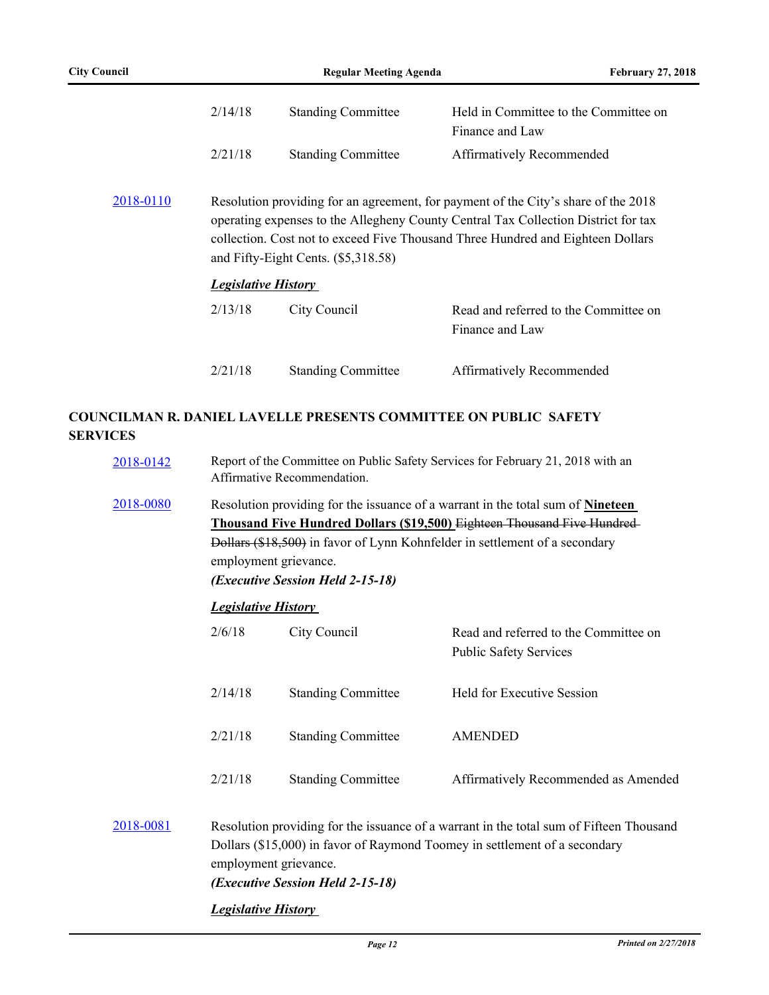|           | 2/14/18                    | <b>Standing Committee</b>           | Held in Committee to the Committee on<br>Finance and Law                                                                                                                                                                                                    |
|-----------|----------------------------|-------------------------------------|-------------------------------------------------------------------------------------------------------------------------------------------------------------------------------------------------------------------------------------------------------------|
|           | 2/21/18                    | <b>Standing Committee</b>           | Affirmatively Recommended                                                                                                                                                                                                                                   |
| 2018-0110 |                            | and Fifty-Eight Cents. (\$5,318.58) | Resolution providing for an agreement, for payment of the City's share of the 2018<br>operating expenses to the Allegheny County Central Tax Collection District for tax<br>collection. Cost not to exceed Five Thousand Three Hundred and Eighteen Dollars |
|           | <b>Legislative History</b> |                                     |                                                                                                                                                                                                                                                             |
|           | 2/13/18                    | City Council                        | Read and referred to the Committee on<br>Finance and Law                                                                                                                                                                                                    |
|           | 2/21/18                    | <b>Standing Committee</b>           | Affirmatively Recommended                                                                                                                                                                                                                                   |

# **COUNCILMAN R. DANIEL LAVELLE PRESENTS COMMITTEE ON PUBLIC SAFETY SERVICES**

| 2018-0142 | Report of the Committee on Public Safety Services for February 21, 2018 with an<br>Affirmative Recommendation.                                                                                                                                                                                          |                           |                                                                        |
|-----------|---------------------------------------------------------------------------------------------------------------------------------------------------------------------------------------------------------------------------------------------------------------------------------------------------------|---------------------------|------------------------------------------------------------------------|
| 2018-0080 | Resolution providing for the issuance of a warrant in the total sum of Nineteen<br>Thousand Five Hundred Dollars (\$19,500) Eighteen Thousand Five Hundred-<br>Dollars (\$18,500) in favor of Lynn Kohnfelder in settlement of a secondary<br>employment grievance.<br>(Executive Session Held 2-15-18) |                           |                                                                        |
|           | <b>Legislative History</b>                                                                                                                                                                                                                                                                              |                           |                                                                        |
|           | 2/6/18                                                                                                                                                                                                                                                                                                  | City Council              | Read and referred to the Committee on<br><b>Public Safety Services</b> |
|           | 2/14/18                                                                                                                                                                                                                                                                                                 | <b>Standing Committee</b> | <b>Held for Executive Session</b>                                      |
|           | 2/21/18                                                                                                                                                                                                                                                                                                 | <b>Standing Committee</b> | <b>AMENDED</b>                                                         |
|           | 2/21/18                                                                                                                                                                                                                                                                                                 | <b>Standing Committee</b> | Affirmatively Recommended as Amended                                   |
| 2018-0081 | Resolution providing for the issuance of a warrant in the total sum of Fifteen Thousand<br>Dollars (\$15,000) in favor of Raymond Toomey in settlement of a secondary<br>employment grievance.<br>(Executive Session Held 2-15-18)                                                                      |                           |                                                                        |
|           | <b>Legislative History</b>                                                                                                                                                                                                                                                                              |                           |                                                                        |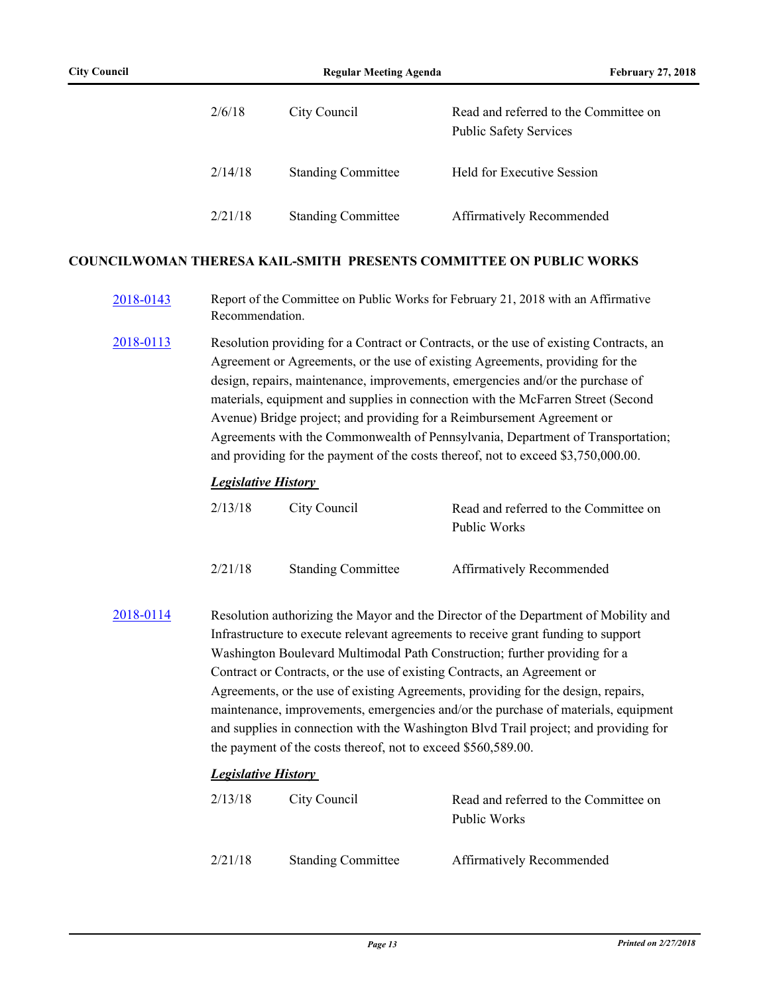| 2/6/18  | City Council              | Read and referred to the Committee on<br><b>Public Safety Services</b> |
|---------|---------------------------|------------------------------------------------------------------------|
| 2/14/18 | <b>Standing Committee</b> | Held for Executive Session                                             |
| 2/21/18 | <b>Standing Committee</b> | Affirmatively Recommended                                              |

#### **COUNCILWOMAN THERESA KAIL-SMITH PRESENTS COMMITTEE ON PUBLIC WORKS**

- [2018-0143](http://pittsburgh.legistar.com/gateway.aspx?m=l&id=/matter.aspx?key=22442) Report of the Committee on Public Works for February 21, 2018 with an Affirmative Recommendation.
- [2018-0113](http://pittsburgh.legistar.com/gateway.aspx?m=l&id=/matter.aspx?key=22412) Resolution providing for a Contract or Contracts, or the use of existing Contracts, an Agreement or Agreements, or the use of existing Agreements, providing for the design, repairs, maintenance, improvements, emergencies and/or the purchase of materials, equipment and supplies in connection with the McFarren Street (Second Avenue) Bridge project; and providing for a Reimbursement Agreement or Agreements with the Commonwealth of Pennsylvania, Department of Transportation; and providing for the payment of the costs thereof, not to exceed \$3,750,000.00.

#### *Legislative History*

| 2/13/18 | City Council              | Read and referred to the Committee on<br>Public Works |
|---------|---------------------------|-------------------------------------------------------|
| 2/21/18 | <b>Standing Committee</b> | <b>Affirmatively Recommended</b>                      |

[2018-0114](http://pittsburgh.legistar.com/gateway.aspx?m=l&id=/matter.aspx?key=22413) Resolution authorizing the Mayor and the Director of the Department of Mobility and Infrastructure to execute relevant agreements to receive grant funding to support Washington Boulevard Multimodal Path Construction; further providing for a Contract or Contracts, or the use of existing Contracts, an Agreement or Agreements, or the use of existing Agreements, providing for the design, repairs, maintenance, improvements, emergencies and/or the purchase of materials, equipment and supplies in connection with the Washington Blvd Trail project; and providing for the payment of the costs thereof, not to exceed \$560,589.00.

### *Legislative History*

| 2/13/18 | City Council              | Read and referred to the Committee on<br>Public Works |
|---------|---------------------------|-------------------------------------------------------|
| 2/21/18 | <b>Standing Committee</b> | Affirmatively Recommended                             |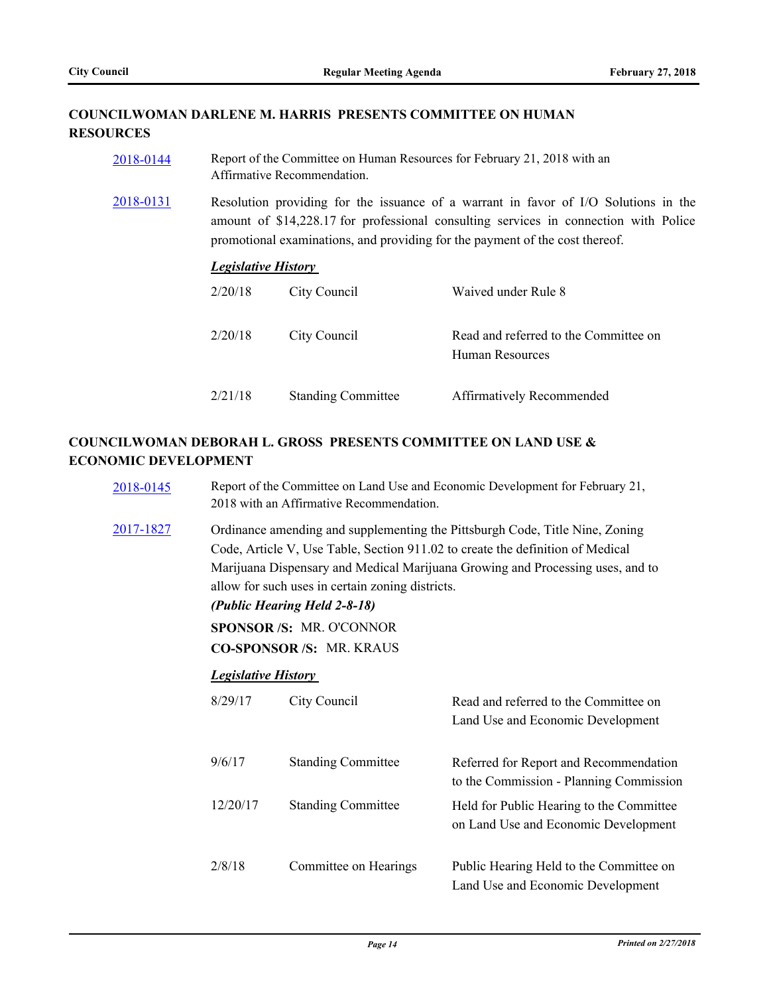# **COUNCILWOMAN DARLENE M. HARRIS PRESENTS COMMITTEE ON HUMAN RESOURCES**

| 2018-0144 | Report of the Committee on Human Resources for February 21, 2018 with an<br>Affirmative Recommendation.                                                                                                                                                     |                           |                                                          |
|-----------|-------------------------------------------------------------------------------------------------------------------------------------------------------------------------------------------------------------------------------------------------------------|---------------------------|----------------------------------------------------------|
| 2018-0131 | Resolution providing for the issuance of a warrant in favor of I/O Solutions in the<br>amount of \$14,228.17 for professional consulting services in connection with Police<br>promotional examinations, and providing for the payment of the cost thereof. |                           |                                                          |
|           | <b>Legislative History</b>                                                                                                                                                                                                                                  |                           |                                                          |
|           | 2/20/18                                                                                                                                                                                                                                                     | City Council              | Waived under Rule 8                                      |
|           | 2/20/18                                                                                                                                                                                                                                                     | City Council              | Read and referred to the Committee on<br>Human Resources |
|           | 2/21/18                                                                                                                                                                                                                                                     | <b>Standing Committee</b> | Affirmatively Recommended                                |

# **COUNCILWOMAN DEBORAH L. GROSS PRESENTS COMMITTEE ON LAND USE & ECONOMIC DEVELOPMENT**

| 2018-0145        | Report of the Committee on Land Use and Economic Development for February 21,<br>2018 with an Affirmative Recommendation.                                                                                                                                                                                                                                                                                |                           |                                                                                   |  |
|------------------|----------------------------------------------------------------------------------------------------------------------------------------------------------------------------------------------------------------------------------------------------------------------------------------------------------------------------------------------------------------------------------------------------------|---------------------------|-----------------------------------------------------------------------------------|--|
| <u>2017-1827</u> | Ordinance amending and supplementing the Pittsburgh Code, Title Nine, Zoning<br>Code, Article V, Use Table, Section 911.02 to create the definition of Medical<br>Marijuana Dispensary and Medical Marijuana Growing and Processing uses, and to<br>allow for such uses in certain zoning districts.<br>(Public Hearing Held 2-8-18)<br><b>SPONSOR/S: MR. O'CONNOR</b><br><b>CO-SPONSOR/S: MR. KRAUS</b> |                           |                                                                                   |  |
|                  | <b>Legislative History</b>                                                                                                                                                                                                                                                                                                                                                                               |                           |                                                                                   |  |
|                  | 8/29/17                                                                                                                                                                                                                                                                                                                                                                                                  | City Council              | Read and referred to the Committee on<br>Land Use and Economic Development        |  |
|                  | 9/6/17                                                                                                                                                                                                                                                                                                                                                                                                   | <b>Standing Committee</b> | Referred for Report and Recommendation<br>to the Commission - Planning Commission |  |
|                  | 12/20/17                                                                                                                                                                                                                                                                                                                                                                                                 | <b>Standing Committee</b> | Held for Public Hearing to the Committee<br>on Land Use and Economic Development  |  |
|                  | 2/8/18                                                                                                                                                                                                                                                                                                                                                                                                   | Committee on Hearings     | Public Hearing Held to the Committee on<br>Land Use and Economic Development      |  |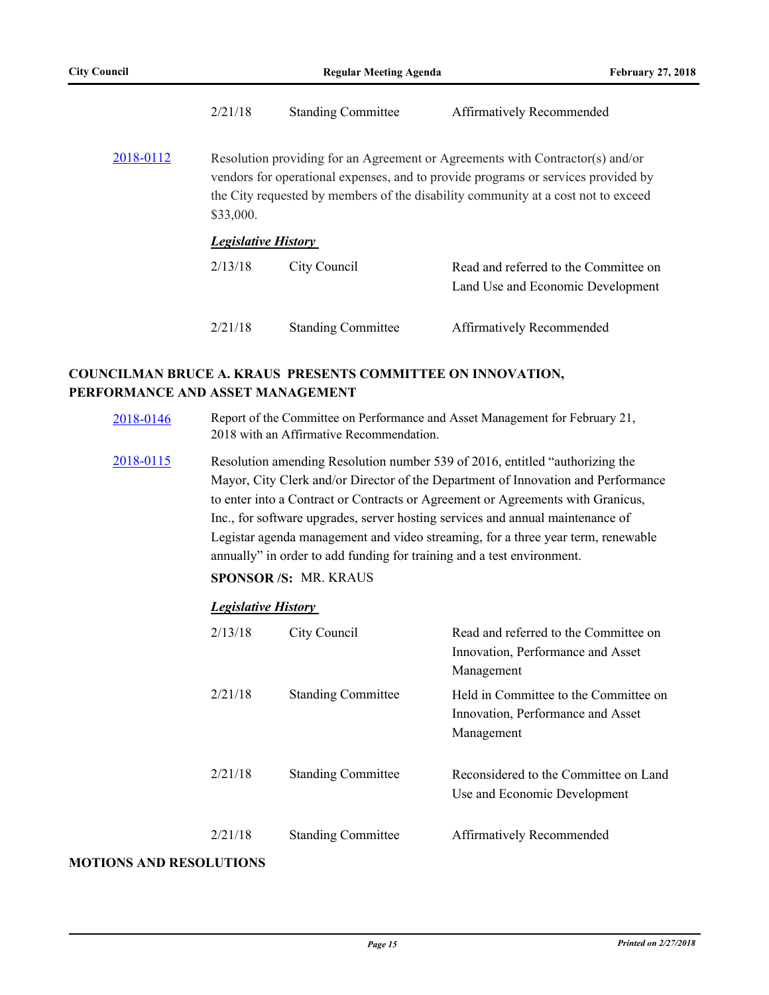|           | 2/21/18                                                                                                                                                                                                                                                              | <b>Standing Committee</b> | Affirmatively Recommended                                                  |  |
|-----------|----------------------------------------------------------------------------------------------------------------------------------------------------------------------------------------------------------------------------------------------------------------------|---------------------------|----------------------------------------------------------------------------|--|
| 2018-0112 | Resolution providing for an Agreement or Agreements with Contractor(s) and/or<br>vendors for operational expenses, and to provide programs or services provided by<br>the City requested by members of the disability community at a cost not to exceed<br>\$33,000. |                           |                                                                            |  |
|           | <b>Legislative History</b>                                                                                                                                                                                                                                           |                           |                                                                            |  |
|           | 2/13/18                                                                                                                                                                                                                                                              | City Council              | Read and referred to the Committee on<br>Land Use and Economic Development |  |
|           | 2/21/18                                                                                                                                                                                                                                                              | <b>Standing Committee</b> | Affirmatively Recommended                                                  |  |

## **COUNCILMAN BRUCE A. KRAUS PRESENTS COMMITTEE ON INNOVATION, PERFORMANCE AND ASSET MANAGEMENT**

- [2018-0146](http://pittsburgh.legistar.com/gateway.aspx?m=l&id=/matter.aspx?key=22445) Report of the Committee on Performance and Asset Management for February 21, 2018 with an Affirmative Recommendation.
- [2018-0115](http://pittsburgh.legistar.com/gateway.aspx?m=l&id=/matter.aspx?key=22414) Resolution amending Resolution number 539 of 2016, entitled "authorizing the Mayor, City Clerk and/or Director of the Department of Innovation and Performance to enter into a Contract or Contracts or Agreement or Agreements with Granicus, Inc., for software upgrades, server hosting services and annual maintenance of Legistar agenda management and video streaming, for a three year term, renewable annually" in order to add funding for training and a test environment.

**SPONSOR /S:** MR. KRAUS

### *Legislative History*

| 2/13/18 | City Council              | Read and referred to the Committee on<br>Innovation, Performance and Asset<br>Management |
|---------|---------------------------|------------------------------------------------------------------------------------------|
| 2/21/18 | <b>Standing Committee</b> | Held in Committee to the Committee on<br>Innovation, Performance and Asset<br>Management |
| 2/21/18 | <b>Standing Committee</b> | Reconsidered to the Committee on Land<br>Use and Economic Development                    |
| 2/21/18 | <b>Standing Committee</b> | Affirmatively Recommended                                                                |

#### **MOTIONS AND RESOLUTIONS**